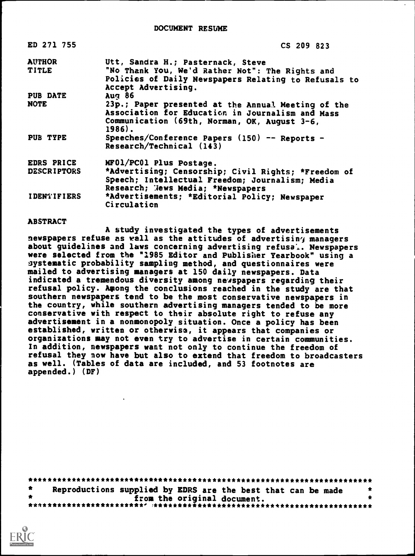| ED 271 755         | CS 209 823                                           |
|--------------------|------------------------------------------------------|
| <b>AUTHOR</b>      | Utt, Sandra H.; Pasternack, Steve                    |
| <b>TITLE</b>       | "No Thank You, We'd Rather Not": The Rights and      |
|                    | Policies of Daily Newspapers Relating to Refusals to |
|                    | Accept Advertising.                                  |
| <b>PUB DATE</b>    | Auq <sub>86</sub>                                    |
| <b>NOTE</b>        | 23p.; Paper presented at the Annual Meeting of the   |
|                    | Association for Education in Journalism and Mass     |
|                    | Communication (69th, Norman, OK, August 3-6,         |
|                    | 1986).                                               |
| PUB TYPE           | Speeches/Conference Papers (150) -- Reports -        |
|                    | Research/Technical (143)                             |
| EDRS PRICE         | MF01/PC01 Plus Postage.                              |
| <b>DESCRIPTORS</b> | *Advertising; Censorship; Civil Rights; *Freedom of  |
|                    | Speech; Intellectual Freedom; Journalism; Media      |
|                    | Research; News Media; *Newspapers                    |
| <b>IDENTIFIERS</b> | *Advertisements; *Editorial Policy; Newspaper        |
|                    | Circulation                                          |

### **ABSTRACT**

A study investigated the types of advertisements newspapers refuse as wall as the attitudes of advertisiny managers about guidelines and laws concerning advertising refusa.. Newspapers were selected from the "1985 Editor and Publisher Yearbook" using a systematic probability sampling method, and questionnaires were mailed to advertising managers at 150 daily newspapers. Data indicated a tremendous diversity among newspapers regarding their refusal policy. Among the conclusions reached in the study are that southern newspapers tend to be the most conservative newspapers in the country, while southern advertising managers tended to be more conservative with respect to their absolute right to refuse any advertisement in a nonmonopoly situation. Once a policy has been established, written or otherwise, it appears that companies or organizations may not even try to advertise in certain communities. In addition, newspapers want not only to continue the freedom of refusal they now have but also to extend that freedom to broadcasters as well. (Tables of data are included, and 53 footnotes are appended.) (DF)

| Reproductions supplied by EDRS are the best that can be made |  |
|--------------------------------------------------------------|--|
| from the original document.                                  |  |
|                                                              |  |

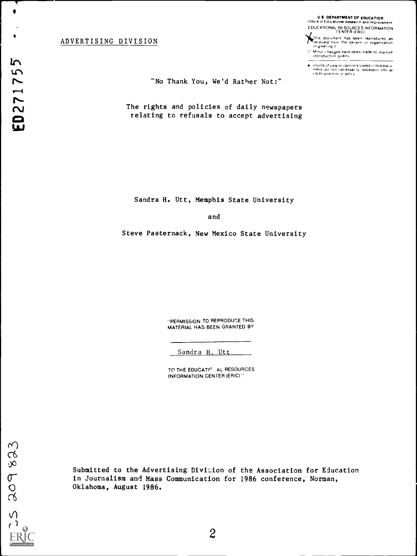### ADVERTISING DIVISION

U S DEPARTMENT Or EDUCATION Office of Educstronar Research and Improvement EDUCATIONAL RESOURCES INFORMATION CENTER (ERIC)

<sub>a</sub>This document has been reproduced as<br>freceived from the pei.son or organization<br>originating.it

Minor henges have been made to improve rePrOduction Quality

Points of view or opinions stated.in this doclu<br>ment: do .not. necessar fy .represent. official<br>OERI position or policy

## "No Thank You, We'd Rather Not;"

The rights and policies of daily newspapers relating to refusals to accept advertising

Sandra H. Utt, Memphis State University

and

Steve Pasternack, New Mexico State University

-PERMISSION TO REPRODUCE THIS MATERIAL HAS BEEN GRANTED BY

Sandra H. Utt

TO THE EDUCATIC AL RESOURCES INFORMATION CENTER (ERIC)"

**I** and the second second  $\mathbf{I}$ 

Submitted to the Advertising Divicion of the Association for Education in Journalism and Mass Communication for 1986 conference, Norman, Oklahoma, August 1986.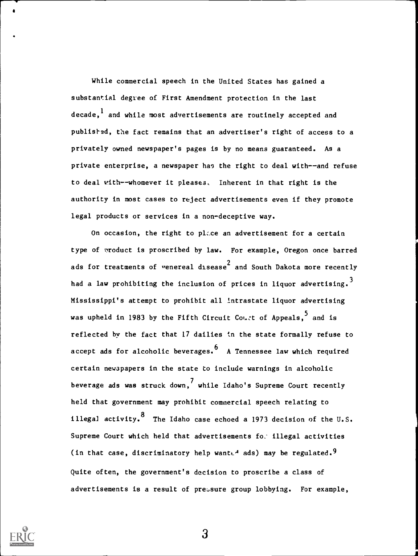While commercial speech in the United States has gained a substantial degree of First Amendment protection in the last decade,  $<sup>1</sup>$  and while most advertisements are routinely accepted and</sup> publisted, the fact remains that an advertiser's right of access to a privately owned newspaper's pages is by no means guaranteed. As a private enterprise, a newspaper has the right to deal with--and refuse to deal with--whomever it pleases. Inherent in that right is the authority in most cases to reject advertisements even if they promote legal products or services in a non-deceptive way.

On occasion, the right to ph.ce an advertisement for a certain type of product is proscribed by law. For example, Oregon once barred ads for treatments of venereal disease<sup>2</sup> and South Dakota more recently had a law prohibiting the inclusion of prices in liquor advertising.<sup>3</sup> Mississippi's attempt to prohibit all intrastate liquor advertising was upheld in 1983 by the Fifth Circuit Court of Appeals, and is reflected by the fact that 17 dailies in the state formally refuse to accept ads for alcoholic beverages.  $6\overline{a}$  A Tennessee law which required certain newspapers in the state to include warnings in alcoholic beverage ads was struck down, while Idaho's Supreme Court recently held that government may prohibit commercial speech relating to illegal activity.  $8\text{ The Idaho case echoed a 1973 decision of the U.S.}$ Supreme Court which held that advertisements fo: illegal activities (in that case, discriminatory help wante<sup>d</sup> ads) may be regulated.<sup>9</sup> Quite often, the government's decision to proscribe a class of advertisements is a result of pressure group lobbying. For example,

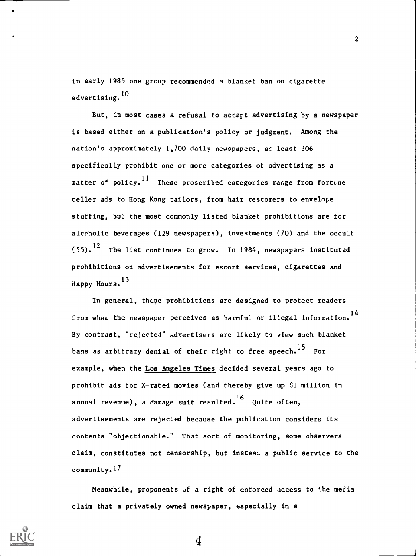in early 1985 one group recommended a blanket ban on cigarette advertising. <sup>10</sup>

But, in most cases a refusal to accept advertising by a newspaper is based either on a publication's policy or judgment. Among the nation's approximately 1,700 daily newspapers, at least 306 specifically prohibit one or more categories of advertising as a matter of policy.<sup>11</sup> These proscribed categories range from fortune teller ads to Hong Kong tailors, from hair restorers to envelope stuffing, but the most commonly listed blanket prohibitions are for alcoholic beverages (129 newspapers), investments (70) and the occult  $(55)$ .<sup>12</sup> The list continues to grow. In 1984, newspapers instituted prohibitions on advertisements for escort services, cigarettes and Happy Hours.13

In general, these prohibitions are designed to protect readers from what the newspaper perceives as harmful or illegal information.<sup>14</sup> By contrast, "rejected" advertisers are likely to view such blanket bans as arbitrary denial of their right to free speech.<sup>15</sup> For example, when the Los Angeles Times decided several years ago to prohibit ads for X-rated movies (and thereby give up \$1 million in annual revenue), a damage suit resulted.<sup>16</sup> Quite often, advertisements are rejected because the publication considers its contents "objectionable." That sort of monitoring, some observers claim, constitutes not censorship, but insteac. a public service to the community.17

Meanwhile, proponents of a right of enforced access to the media claim that a privately owned newspaper, especially in a

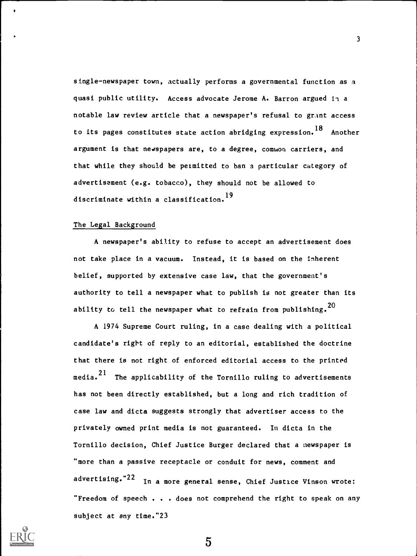single-newspaper town, actually performs a governmental function as a quasi public utility. Access advocate Jerome A. Barron argued in a notable law review article that a newspaper's refusal to grant access to its pages constitutes state action abridging expression. <sup>18</sup> Another argument is that newspapers are, to a degree, comwon carriers, and that while they should be permitted to ban a particular category of advertisement (e.g. tobacco), they should not be allowed to discriminate within a classification. <sup>19</sup>

#### The Legal Background

A newspaper's ability to refuse to accept an advertisement does not take place in a vacuum. Instead, it is based on the inherent belief, supported by extensive case law, that the government's authority to tell a newspaper what to publish is not greater than its ability to tell the newspaper what to refrain from publishing.  $^{20}$ 

A 1974 Supreme Court ruling, in a case dealing with a political candidate's right of reply to an editorial, established the doctrine that there is not right of enforced editorial access to the printed media.<sup>21</sup> The applicability of the Tornillo ruling to advertisements has not been directly established, but a long and rich tradition of case law and dicta suggests strongly that advertiser access to the privately owned print media is not guaranteed. In dicta in the Tornillo decision, Chief Justice Burger declared that a newspaper is "more than a passive receptacle or conduit for news, comment and advertising." $22$  In a more general sense, Chief Justice Vinson wrote: "Freedom of speech . . . does not comprehend the right to speak on any subject at any time."23

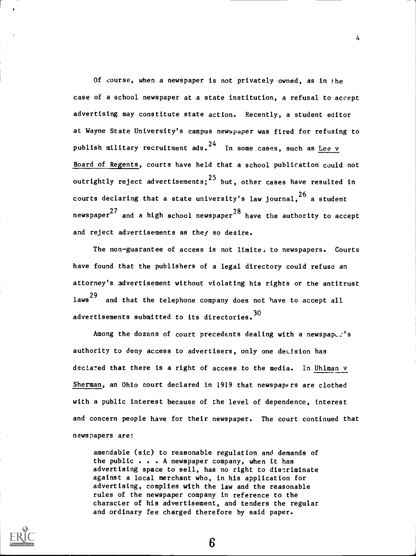Of course, when a newspaper is not privately owned, as in the case of a school newspaper at a state institution, a refusal to accept advertising may constitute state action. Recently, a student editor at Wayne State University's campus newspaper was fired for refusing to publish military recruitment ads.<sup>24</sup> In some cases, such as <u>Lee v</u> Board of Regents, courts have held that a school publication could not outrightly reject advertisements; <sup>25</sup> but, other cases have resulted in courts declaring that a state university's law journal, $^{26}$  a student newspaper $^{\mathrm{27}}$  and a high school newspaper $^{\mathrm{28}}$  have the authority to accept and reject advertisements as they so desire.

The non-guarantee of access is not limite. to newspapers. Courts have found that the publishers of a legal directory could refuse an attorney's advertisement without violating his rights or the antitrust laws<sup>29</sup> and that the telephone company does not have to accept all advertisements submitted to its directories. 30

Among the dozens of court precedents dealing with a newspaper's authority to deny access to advertisers, only one decision has declared that there is a right of access to the media. In Uhlman v Sherman, an Ohio court declared in 1919 that newspapers are clothed with a public interest because of the level of dependence, interest and concern people have for their newspaper. The court continued that newspapers are:

amendable (sic) to reasonable regulation and demands of the public . . . A newspaper company, when it has advertising space to sell, has no right to discriminate against a local merchant who, in his application for advertising, complies with the law and the reasonable rules of the newspaper company in reference to the character of his advertisement, and tenders the regular and ordinary fee charged therefore by said paper.

6

 $\overline{4}$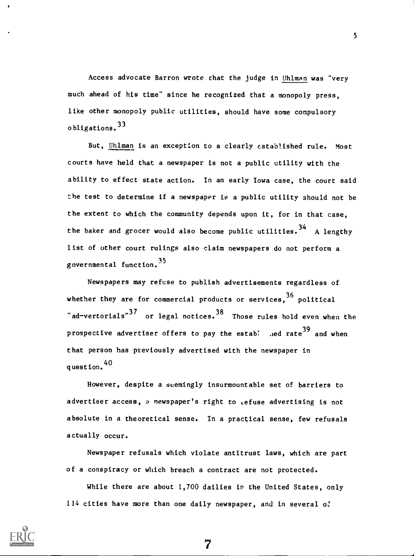Access advocate Barron wrote that the judge in Uhlman was "very much ahead of his time" since he recognized that a monopoly press, like other monopoly public utilities, should have some compulsory obligations. <sup>33</sup>

But, Uhlman is an exception to a clearly established rule. Most courts have held that a newspaper is not a public utility with the ability to effect state action. In an early Iowa case, the court said the test to determine if a newspaper is a public utility should not be the extent to which the community depends upon it, for in that case, the baker and grocer would also become public utilities.<sup>34</sup> A lengthy list of other court rulings also claim newspapers do not perform a governmental function.<sup>33</sup>

Newspapers may refuse to publish advertisements regardless of whether they are for commercial products or services,  $36$  political "ad-vertorials"<sup>37</sup> or legal notices.<sup>38</sup> Those rules hold even when the prospective advertiser offers to pay the estab; Jed rate<sup>39</sup> and when that person has previously advertised with the newspaper in question. <sup>40</sup>

However, despite a seemingly insurmountable set of barriers to advertiser access, a newspaper's right to Lefuse advertising is not absolute in a theoretical sense. In a practical sense, few refusals actually occur.

Newspaper refusals which violate antitrust laws, which are part of a conspiracy or which breach a contract are not protected.

While there are about 1,700 dailies in the United States, only  $114$  cities have more than one daily newspaper, and in several of



5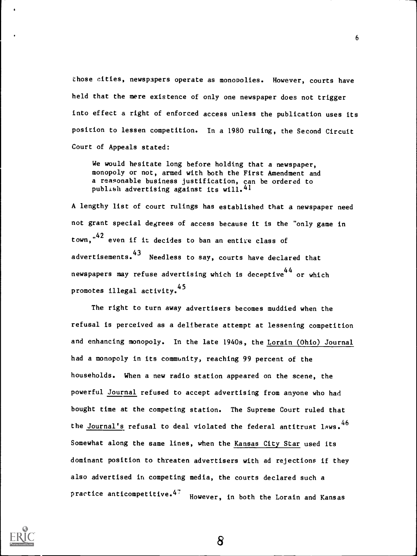those cities, newspapers operate as monopolies. However, courts have held that the mere existence of only one newspaper does not trigger into effect a right of enforced access unless the publication uses its position to lessen competition. In a 1980 ruling, the Second Circuit Court of Appeals stated:

6

We would hesitate long before holding that a newspaper, monopoly or not, armed with both the First Amendment and a reasonable business justification, can be ordered to publish advertising against its will.41

A lengthy list of court rulings has established that a newspaper need not grant special degrees of access because it is the "only game in town,"<sup>42</sup> even if it decides to ban an entire class of advertisements.<sup>43</sup> Needless to say, courts have declared that newspapers may refuse advertising which is deceptive<sup>44</sup> or which promotes illegal activity. <sup>45</sup>

The right to turn away advertisers becomes muddied when the refusal is perceived as a deliberate attempt at lessening competition and enhancing monopoly. In the late 1940s, the Lorain (Ohio) Journal had a monopoly in its community, reaching 99 percent of the households. When a new radio station appeared on the scene, the powerful Journal refused to accept advertising from anyone who had bought time at the competing station. The Supreme Court ruled that the Journal's refusal to deal violated the federal antitrust laws.<sup>46</sup> Somewhat along the same lines, when the Kansas City Star used its dominant position to threaten advertisers with ad rejections if they also advertised in competing media, the courts declared such a practice anticompetitive.<sup>47</sup> However, in both the Lorain and Kansas

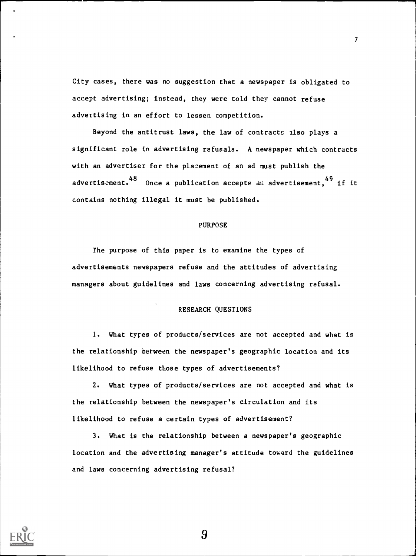City cases, there was no suggestion that a newspaper is obligated to accept advertising; instead, they were told they cannot refuse advertising in an effort to lessen competition.

7

Beyond the antitrust laws, the law of contracts also plays a significant role in advertising refusals. A newspaper which contracts with an advertiser for the placement of an ad must publish the advertiscment.  $48$  Once a publication accepts all advertisement,  $49$  if it contains nothing illegal it must be published.

### PURPOSE

The purpose of this paper is to examine the types of advertisements newspapers refuse and the attitudes of advertising managers about guidelines and laws concerning advertising refusal.

### RESEARCH QUESTIONS

1. What types of products/services are not accepted and what is the relationship between the newspaper's geographic location and its likelihood to refuse those types of advertisements?

2. What types of products/services are not accepted and what is the relationship between the newspaper's circulation and its likelihood to refuse a certain types of advertisement?

3. What is the relationship between a newspaper's geographic location and the advertising manager's attitude toward the guidelines and laws concerning advertising refusal?

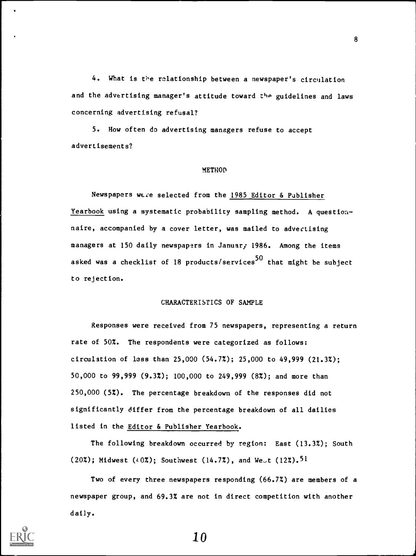4. What is the relationship between a newspaper's circulation and the advertising manager's attitude toward the guidelines and laws concerning advertising refusal?

5. How often do advertising managers refuse to accept advertisements?

#### **METHOD**

Newspapers were selected from the 1985 Editor & Publisher Yearbook using a systematic probability sampling method. A questionnaire, accompanied by a cover letter, was mailed to advertising managers at 150 daily newspapers in Januar; 1986. Among the items asked was a checklist of 18 products/services<sup>50</sup> that might be subject to rejection.

### CHARACTERISTICS OF SAMPLE

Responses were received from 75 newspapers, representing a return rate of 50%. The respondents were categorized as follows: circulation of less than 25,000 (54.7%); 25,000 to 49,999 (21.3%); 50,000 to 99,999 (9.3%); 100,000 to 249,999 (8%); and more than 250,000 (5%). The percentage breakdown of the responses did not significantly differ from the percentage breakdown of all dailies listed in the Editor & Publisher Yearbook.

The following breakdown occurred by region: East (13.3%); South (20%); Midwest (40%); Southwest (14.7%), and West (12%).<sup>51</sup>

Two of every three newspapers responding (66.7%) are members of a newspaper group, and 69.3% are not in direct competition with another daily.

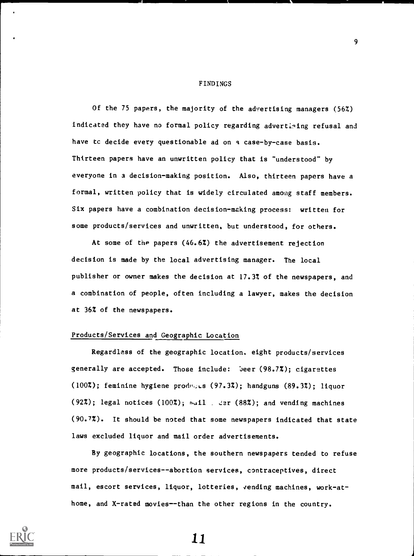#### FINDINGS

Of the 75 papers, the majority of the advertising managers (56%) Indicated they have no formal policy regarding advertiging refusal and have tc decide every questionable ad on a case-by-case basis. Thirteen papers have an unwritten policy that is "understood" by everyone in a decision-making position. Also, thirteen papers have a formal, written policy that is widely circulated among staff members. Six papers have a combination decision-making process: written for some products/services and unwritten, but understood, for others.

At some of the papers (46.6%) the advertisement rejection decision is made by the local advertising manager. The local publisher or owner makes the decision at 17.3% of the newspapers, and a combination of people, often including a lawyer, makes the decision at 36% of the newspapers.

## Products/Services and Geographic Location

Regardless of the geographic location. eight products/services generally are accepted. Those include: 'Jeer (98.7%); cigarettes (100%); feminine hygiene products (97.3%); handguns (89.3%); liquor (92%); legal notices (100%);  $m \times 11$ .  $\div$  (88%); and vending machines (90.7%). It should be noted that some newspapers indicated that state laws excluded liquor and mail order advertisements.

By geographic locations, the southern newspapers tended to refuse more products/services--abortion services, contraceptives, direct mail, escort services, liquor, lotteries, vending machines, work-athome, and X-rated movies--than the other regions in the country.



11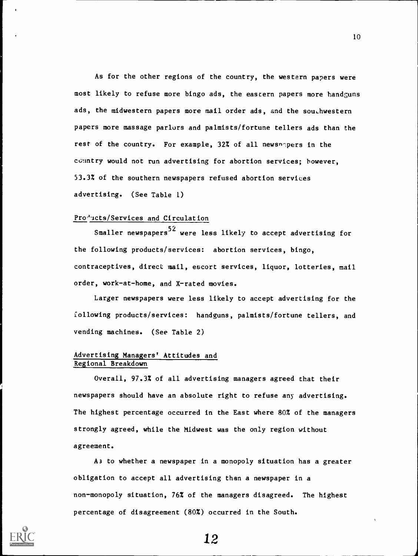As for the other regions of the country, the western papers were most likely to refuse more bingo ads, the eastern papers more handguns ads, the midwestern papers more mail order ads, and the southwestern papers more massage parlurs and palmists/fortune tellers ads than the rest of the country. For example, 32% of all newsnepers in the cGuntry would not run advertising for abortion services; however, 53.3% of the southern newspapers refused abortion services advertising. (See Table 1)

## Pro<sup>d</sup>ucts/Services and Circulation

Smaller newspapers<sup>52</sup> were less likely to accept advertising for the following products/services: abortion services, bingo, contraceptives, direct mail, escort services, liquor, lotteries, mail order, work-at-home, and X-rated movies.

Larger newspapers were less likely to accept advertising for the following products/services: handguns, palmists/fortune tellers, and vending machines. (See Table 2)

### Advertising Managers' Attitudes and Regional Breakdown

Overall, 97.3% of all advertising managers agreed that their newspapers should have an absolute right to refuse any advertising. The highest percentage occurred in the East where 80% of the managers strongly agreed, while the Midwest was the only region without agreement.

A3 to whether a newspaper in a monopoly situation has a greater obligation to accept all advertising than a newspaper in a non-monopoly situation, 76% of the managers disagreed. The highest percentage of disagreement (80%) occurred in the South.



12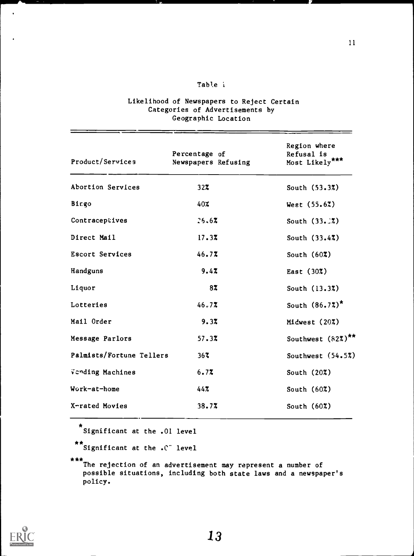## Table i

## Likelihood of Newspapers to Reject Certain Categories of Advertisements by Geographic Location

| Product/Services         | Percentage of<br>Newspapers Refusing | Region where<br>Refusal is<br>Most Likely*** |
|--------------------------|--------------------------------------|----------------------------------------------|
| Abortion Services        | $32\%$                               | South $(53.37)$                              |
| Bingo                    | 40%                                  | West $(55.62)$                               |
| Contraceptives           | 26.67                                | South $(33.2)$                               |
| Direct Mail              | 17.3%                                | South $(33.47)$                              |
| Escort Services          | 46.77                                | South $(60\%)$                               |
| Handguns                 | 9.47                                 | East (30%)                                   |
| Liquor                   | 8%                                   | South $(13.37)$                              |
| Lotteries                | 46.77                                | South $(86.72)^*$                            |
| Mail Order               | 9.37                                 | Midwest (20%)                                |
| Message Parlors          | 57.37                                | Southwest (82%)**                            |
| Palmists/Fortune Tellers | 367                                  | Southwest (54.5%)                            |
| Vending Machines         | 6.77                                 | South $(20\%)$                               |
| Work-at-home             | 44%                                  | South $(60\%)$                               |
| X-rated Movies           | 38.7%                                | South $(60\%)$                               |

\*\*Significant at the .01 level

\*\* Significant at the .C<sup>-</sup> level

\*\*\*The rejection of an advertisement may represent a number of possible situations, including both state laws and a newspaper's policy.



 $\bullet$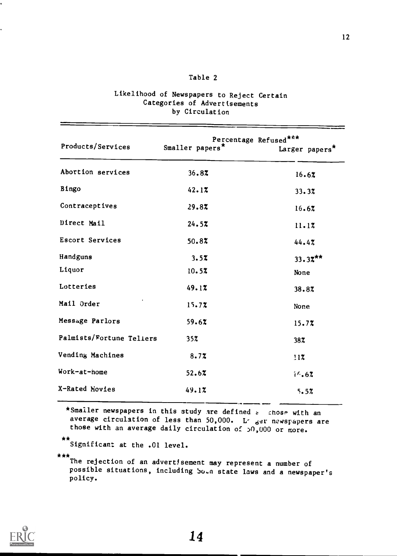## Table 2

| Products/Services        | Percentage Refused ***<br>Smaller papers* | Larger papers* |  |
|--------------------------|-------------------------------------------|----------------|--|
| Abortion services        | 36.87                                     | 16.6%          |  |
| Bingo                    | 42.17                                     | 33.37          |  |
| Contraceptives           | 29.8%                                     | 16.67          |  |
| Direct Mail              | 24.57                                     | 11.1%          |  |
| Escort Services          | 50.87                                     | 44.4%          |  |
| Handguns                 | 3.57                                      | $33.32***$     |  |
| Liquor                   | 10.5%                                     | None           |  |
| Lotteries                | 49.1%                                     | 38.87          |  |
| Mail Order               | 15.7%                                     | None           |  |
| Message Parlors          | 59.6%                                     | 15.77          |  |
| Palmists/Fortune Teliers | 35%                                       | 38%            |  |
| Vending Machines         | 8.7%                                      | 117            |  |
| Work-at-home             | 52.67                                     | $1^{6.62}$     |  |
| X-Rated Movies           | 49.1%                                     | 5.5%           |  |

# Likelihood of Newspapers to Reject Certain Categories of Advertisements by Circulation

\*Smaller newspapers in this study are defined  $\varepsilon$  chose with an average circulation of less than 50,000. L' ger newspapers are those with an average daily circulation of  $>0$ ,000 or more.

\*\*Significant at the .01 level.

\*\*\*<br>The rejection of an advertisement may represent a number of possible situations, including Soun state laws and a newspaper's policy.

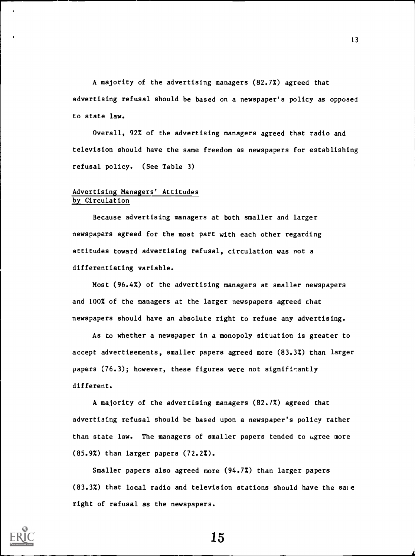A majority of the advertising managers (82.7%) agreed that advertising refusal should be based on a newspaper's policy as opposed to state law.

Overall, 92% of the advertising managers agreed that radio and television should have the same freedom as newspapers for establishing refusal policy. (See Table 3)

### Advertising Managers' Attitudes by Circulation

Because advertising managers at both smaller and larger newspapers agreed for the most part with each other regarding attitudes toward advertising refusal, circulation was not a differentiating variable.

Most (96.4%) of the advertising managers at smaller newspapers and 100% of the managers at the larger newspapers agreed that newspapers should have an absolute right to refuse any advertising.

As to whether a newspaper in a monopoly situation is greater to accept advertisements, smaller papers agreed more (83.3%) than larger papers (76.3); however, these figures were not significantly different.

A majority of the advertising managers (82.1%) agreed that advertising refusal should be based upon a newspaper's policy rather than state law. The managers of smaller papers tended to agree more (85.9%) than larger papers (72.2%).

Smaller papers also agreed more (94.7%) than larger papers (83.3%) that local radio and television stations should have the sate right of refusal as the newspapers.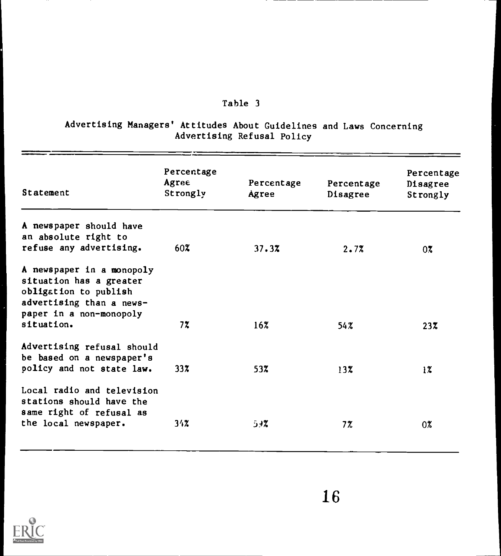# Table 3

## Advertising Managers' Attitudes About Guidelines and Laws Concerning Advertising Refusal Policy

| Statement                                                                                                                                          | Percentage<br>Agree<br>Strongly | Percentage<br>Agree | Percentage<br>Disagree | Percentage<br>Disagree<br>Strongly |
|----------------------------------------------------------------------------------------------------------------------------------------------------|---------------------------------|---------------------|------------------------|------------------------------------|
| A newspaper should have<br>an absolute right to<br>refuse any advertising.                                                                         | 60X.                            | 37.3%               | 2.7%                   | $0\%$                              |
| A newspaper in a monopoly<br>situation has a greater<br>obligation to publish<br>advertising than a news-<br>paper in a non-monopoly<br>situation. | 7%                              | 16%                 | 54%                    | $23\%$                             |
| Advertising refusal should<br>be based on a newspaper's<br>policy and not state law.                                                               | 33 <sub>x</sub>                 | 53%                 | $13\%$                 | $1\%$                              |
| Local radio and television<br>stations should have the<br>same right of refusal as<br>the local newspaper.                                         | 34%                             | 7≮ژ                 | 7%                     | 0%                                 |

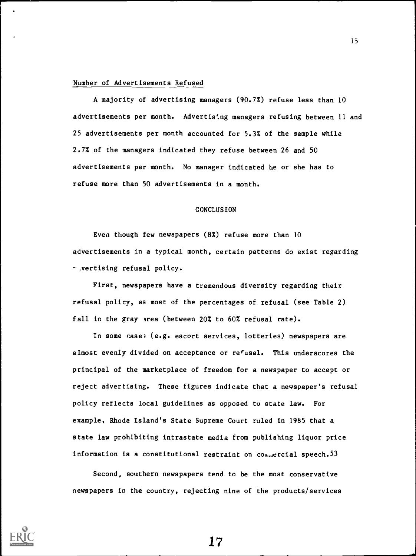#### Number of Advertisements Refused

A majority of advertising managers (90.7%) refuse less than 10 advertisements per month. Advertising managers refusing between 11 and 25 advertisements per month accounted for 5.3% of the sample while 2.7% of the managers indicated they refuse between 26 and 50 advertisements per month. No manager indicated he or she has to refuse more than 50 advertisements in a month.

### CONCLUSION

Even though few newspapers (8%) refuse more than 10 advertisements in a typical month, certain patterns do exist regarding r .vertising refusal policy.

First, newspapers have a tremendous diversity regarding their refusal policy, as most of the percentages of refusal (see Table 2) fall in the gray area (between 20% to 60% refusal rate).

In some cases (e.g. escort services, lotteries) newspapers are almost evenly divided on acceptance or refusal. This underscores the principal of the marketplace of freedom for a newspaper to accept or reject advertising. These figures indicate that a newspaper's refusal policy reflects local guidelines as opposed to state law. For example, Rhode Island's State Supreme Court ruled in 1985 that a state law prohibiting intrastate media from publishing liquor price information is a constitutional restraint on  $\text{con}_{\text{un}}$  ercial speech.<sup>53</sup>

Second, southern newspapers tend to be the most conservative newspapers in the country, rejecting nine of the products/services

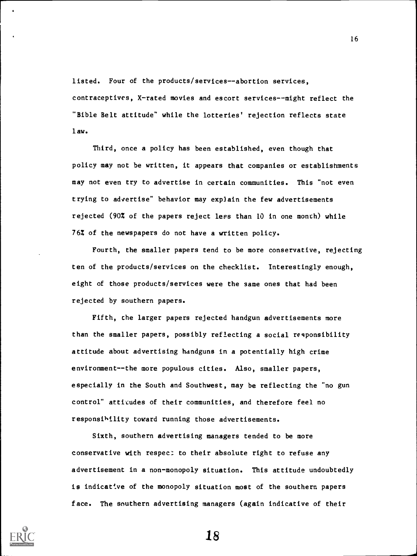listed. Four of the products/services--abortion services, contraceptives, X-rated movies and escort services--might reflect the "Bible Belt attitude" while the lotteries' rejection reflects state law.

Third, once a policy has been established, even though that policy may not be written, it appears that companies or establishments may not even try to advertise in certain communities. This "not even trying to advertise" behavior may exp)ain the few advertisements rejected (90% of the papers reject lees than 10 in one month) while 76% of the newspapers do not have a written policy.

Fourth, the smaller papers tend to be more conservative, rejecting ten of the products/services on the checklist. Interestingly enough, eight of those products/services were the same ones that had been rejected by southern papers.

Fifth, the larger papers rejected handgun advertisements more than the smaller papers, possibly reflecting a social responsibility attitude about advertising handguns in a potentially high crime environment--the more populous cities. Also, smaller papers, especially in the South and Southwest, may be reflecting the "no gun control" attitudes of their communities, and therefore feel no responsibility toward running those advertisements.

Sixth, southern advertising managers tended to be more conservative with respect to their absolute right to refuse any advertisement in a non-monopoly situation. This attitude undoubtedly is indicative of the monopoly situation most of the southern papers face. The southern advertising managers (again indicative of their



18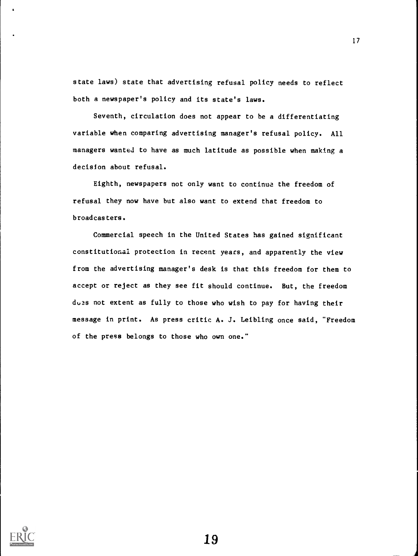state laws) state that advertising refusal policy needs to reflect both a newspaper's policy and its state's laws.

Seventh, circulation does not appear to be a differentiating variable when comparing advertising manager's refusal policy. All managers wanted to have as much latitude as possible when making a decision about refusal.

Eighth, newspapers not only want to continue the freedom of refusal they now have but also want to extend that freedom to broadcasters.

Commercial speech in the United States has gained significant constitutional protection in recent years, and apparently the view from the advertising manager's desk is that this freedom for them to accept or reject as they see fit should continue. But, the freedom du3s not extent as fully to those who wish to pay for having their message in print. As press critic A. J. Leibling once said, "Freedom of the press belongs to those who own one."



19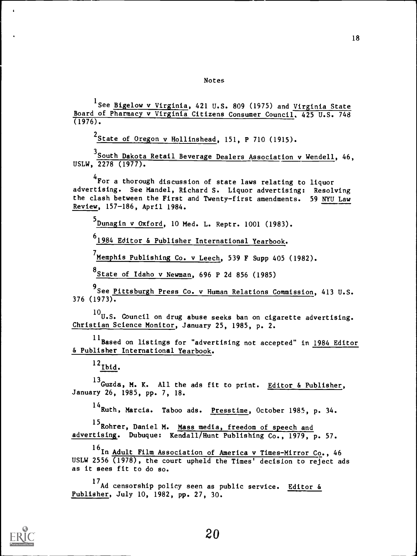Notes

<sup>1</sup> See <u>Bigelow v Virginia</u>, 421 U.S. 809 (1975) and <u>Virginia State</u> Board of Pharmacy v Virginia Citizens Consumer Council, 425 U.S. 748  $(1976)$ .

<sup>2</sup>State of Oregon v Hollinshead, 151, P 710 (1915).

South Dakota Retail Beverage Dealers Association v Wendell, 46, USLW, 2278 (1977).

4 For a thorough discussion of state laws relating to liquor advertising. See Mandel, Richard S. Liquor advertising: Resolving the clash between the First and Twenty-first amendments. 59 NYU Law Review, 157-186, April 1984.

5<br>Dunagin v Oxford, 10 Med. L. Reptr. 1001 (1983).

<sup>0</sup>1984 Editor & Publisher International Yearbook.

<sup>7</sup>Memphis Publishing Co. v Leech, 539 F Supp 405 (1982).

<sup>8</sup>State of Idaho v Newman, 696 P 2d 856 (1985)

<sup>9</sup>See <u>Pittsburgh Press Co. v Human Relations Commission, 413 U.S.</u>  $376$  (1973).

 $^{10}$ U.S. Council on drug abuse seeks ban on cigarette advertising. Christian Science Monitor, January 25, 1985, p. 2.

<sup>11</sup>Based on listings for "advertising not accepted" in 1984 Editor & Publisher International Yearbook.

 $^{12}$ Ibid.

<sup>13</sup>Guzd**a, M. K.** All the ads fit to print. Editor & Publisher, January 26, 1985, pp. 7, 18.

<sup>14</sup> Ruth, Marcia. Taboo ads. <u>Presstime</u>, October 1985, p. 34.

<sup>15</sup> Rohrer, Daniel M. Mass media, freedom of speech and advertising. Dubuque: Kendall/Hunt Publishing Co., 1979, p. 57.

<sup>16</sup>In <u>Adult Film Association of America v Times-Mirror Co</u>., 46 USLW 2556 (1978), the court upheld the Times' decision to reject ads as it sees fit to do so.

<sup>1/</sup>Ad censorship policy seen as public service. <u>Editor &</u> Publisher, July 10, 1982, pp. 27, 30.



 $\ddot{\phantom{a}}$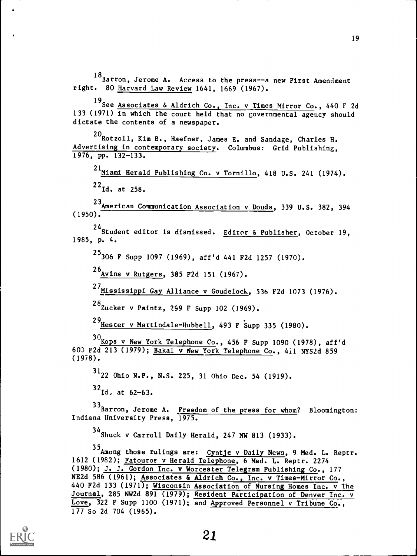<sup>18</sup>Barron, Jerome A. Access to the press--a new First Amendment right. 80 Harvard Law Review 1641, 1669 (1967).

<sup>19</sup>See <u>Associates & Aldrich Co., Inc. v Times Mirror Co</u>., 440 F 2d 133 (1971) in which the court held that no governmental agency should dictate the contents of a newspaper.

 $^{20}$ Rotzoll, Kim B., Haefner, James E. and Sandage, Charles H. Advertising in contemporary society. Columbus: Grid Publishing, 1976, pp. 132-133.

<sup>21</sup>Miami Herald Publishing Co. v Tornillo, 418 U.S. 241 (1974).  $^{22}$ Id. at 258.

23 American Communication Association v Douds, 339 U.S. 382, 394 (1950).

<sup>24</sup>Student editor is dismissed. <u>Editor & Publisher</u>, October 19, 1985, p. 4.

<sup>25</sup>306 F Supp 1097 (1969), aff'd 441 F2d 1257 (1970).

26<br>Avins v Rutgers, 385 F2d 151 (1967).

<sup>27</sup>Mississippi Gay Alliance v Goudelock, 536 F2d 1073 (1976).

<sup>28</sup>Zucker v Paintz, 299 F Supp 102 (1969).

29<br>Hester v Martindale-Hubbell, 493 F Supp 335 (1980).

 $30<sub>KOPS</sub>$  v New York Telephone Co., 456 F Supp 1090 (1978), aff'd 603 F2d 213 (1979); Bakal v New York Telephone Co., 411 NYS2d 859 (1978).

 $^{31}$ 22 Ohio N.P., N.S. 225, 31 Ohio Dec. 54 (1919).

 $32$ Id, at  $62-63$ .

33Barron, Jerome A. Freedom of the press for whom? Bloomington: Indiana University Press, 1975.

34 Shuck v Carroll Daily Herald, 247 NW 813 (1933).

35Among those rulings are: Cyntje v Daily News, 9 Med. L. Reptr. 1612 (1982); Fatouroe v Herald Telephone, 6 Med. L. Reptr. 2274 (1980); J. J. Gordon Inc. v Worcester Telegram Publishing Co., 177 NE2d 586 (1961); Associates & Aldrich Co., Inc. v Times-Mirror Co., 440 F2d 133 (1971); Wisconsin Association of Nursing Homes Inc. v The Journal, 285 NW2d 891 (1979); Resident Participation of Denver Inc. v Love, 322 F Supp 1100 (1971); and Approved Personnel v Tribune Co., 177 So 2d 704 (1965).

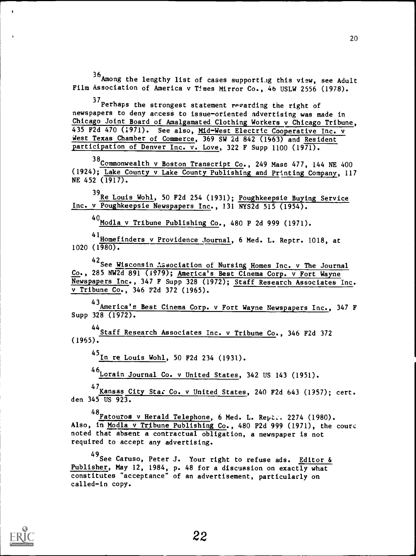$^{36}\!$ Among the lengthy list of cases supporti.ig this view, see Adult Film Association of America v Times Mirror Co., 46 USLW 2556 (1978).

<sup>37</sup>Perhaps the strongest statement regarding the right of newspapers to deny access to issue-oriented advertising was made in Chicago Joint Board of Amalgamated Clothing Workers v Chicago Tribune, 435 F2d 470 (1971). See also, Mid-West Electric Cooperative Inc. v West Texas Chamber of Commerce, 369 SW 2d 842 (1963) and Resident participation of Denver Inc. v. Love, 322 F Supp 1100 (1971).

38 Commonwealth v Boston Transcript Co., 249 Mass 477, 144 NE 400 (1924); Lake County v Lake County Publishing and Prtnting Company, 117 NE 452 (1917).

39 Re Louis Wohl, 50 F2d 254 (1931); Poughkeepsie Buying Service Inc. v Poughkeepsie Newspapers Inc., 131 NYS2d 515 (1954).

<sup>40</sup>Modla v Tribune Publishing Co., 480 P 2d 999 (1971).

4<sup>1</sup> Homefinders v Providence Journal, 6 Med. L. Reptr. 1018, at 1020 (1980).

<sup>42</sup>See <u>Wisconsin Association of Nursing Homes Inc. v The Journal</u> Co., 285 NW2d 891 (1979); America's Best Cinema Corp. v Fort Wayne Newspapers Inc., 347 F Supp 328 (1972); Staff Research Associates Inc. v Tribune Co., 346 F2d 372 (1965).

43<sub>America's Best Cinema Corp. v Fort Wayne Newspapers Inc., 347 F</sub> Supp 328 (1972).

44<br>Staff Research Associates Inc. v Tribune Co., 346 F2d 372  $(1965)$ .

<sup>45</sup>In re Louis Wohl, 50 F2d 234 (1931).

46 Lorain Journal Co. v United States, 342 US 143 (1951).

47<sub>Kansas</sub> City Star Co. v United States, 240 F2d 643 (1957); cert. den 345 US 923.

48 Fatouros v Herald Telephone, 6 Med. L. Rept., 2274 (1980). Also, in Modla v Tribune Publishing Co., 480 P2d 999 (1971), the court noted that absent a contractual obligation, a newspaper is not required to accept any advertising.

<sup>49</sup>See Caruso, Peter J. Your right to refuse ads. <u>Editor &</u> Publisher, May 12, 1984, p. 48 for a discussion on exactly what constitutes "acceptance" of an advertisement, particularly on called-in copy.



 $\mathbf{t}$